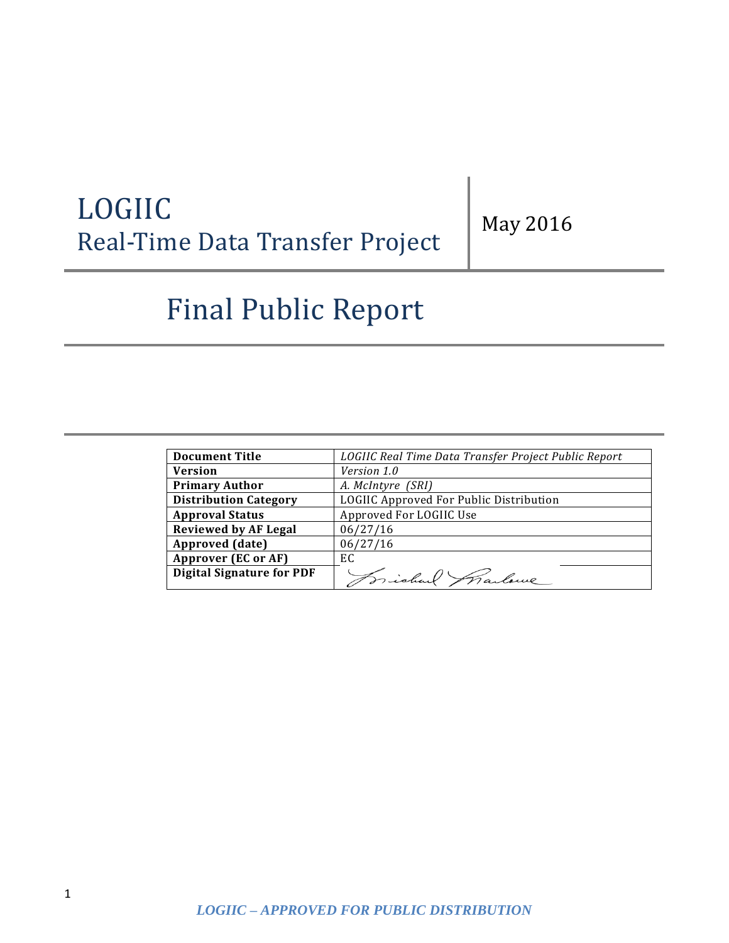# LOGIIC Real-Time Data Transfer Project

May 2016

# Final Public Report

| <b>Document Title</b>            | LOGIIC Real Time Data Transfer Project Public Report |
|----------------------------------|------------------------------------------------------|
| <b>Version</b>                   | Version 1.0                                          |
| <b>Primary Author</b>            | A. McIntyre (SRI)                                    |
| <b>Distribution Category</b>     | LOGIIC Approved For Public Distribution              |
| <b>Approval Status</b>           | Approved For LOGIIC Use                              |
| <b>Reviewed by AF Legal</b>      | 06/27/16                                             |
| Approved (date)                  | 06/27/16                                             |
| Approver (EC or AF)              | EC.                                                  |
| <b>Digital Signature for PDF</b> | Frichal Marlowe                                      |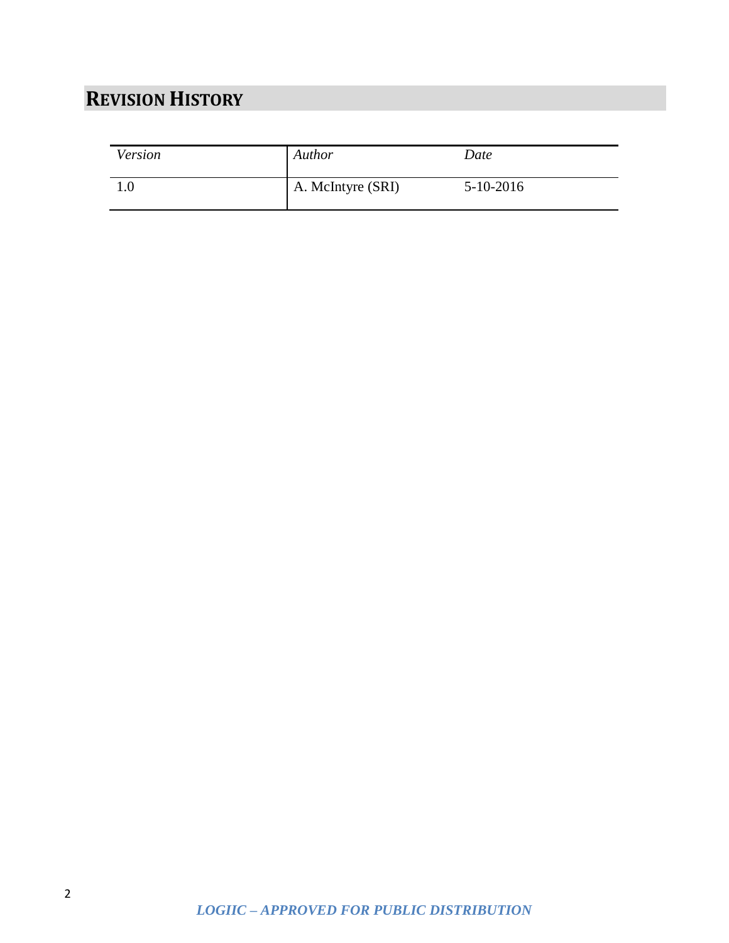## <span id="page-1-0"></span>**REVISION HISTORY**

| Version | Author            | Date        |
|---------|-------------------|-------------|
| 1.0     | A. McIntyre (SRI) | $5-10-2016$ |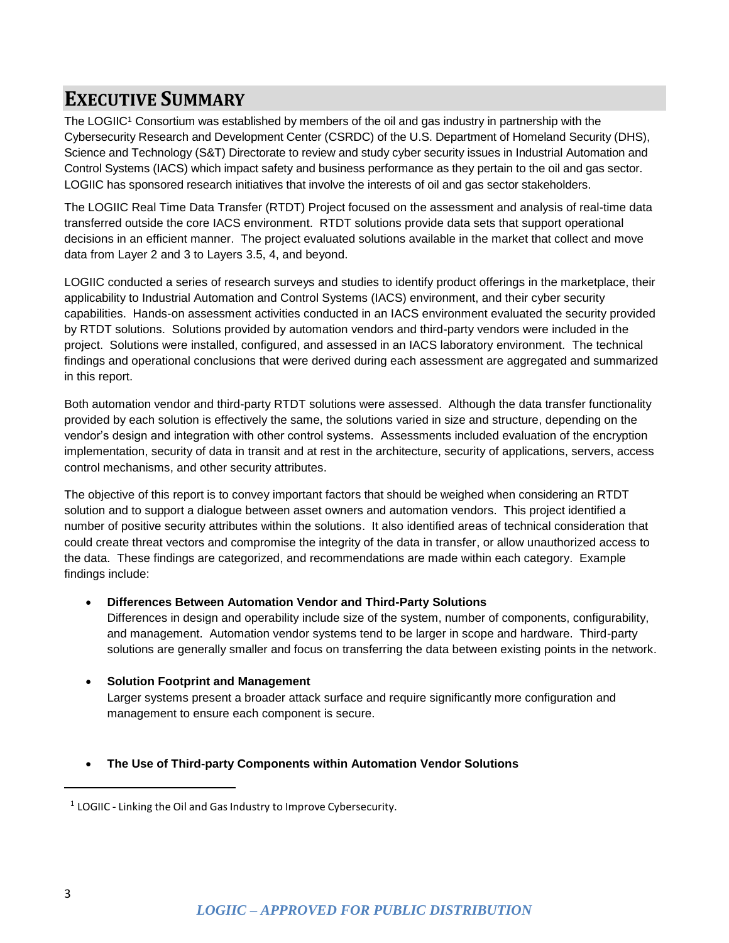### <span id="page-2-0"></span>**EXECUTIVE SUMMARY**

The LOGIIC<sup>1</sup> Consortium was established by members of the oil and gas industry in partnership with the Cybersecurity Research and Development Center (CSRDC) of the U.S. Department of Homeland Security (DHS), Science and Technology (S&T) Directorate to review and study cyber security issues in Industrial Automation and Control Systems (IACS) which impact safety and business performance as they pertain to the oil and gas sector. LOGIIC has sponsored research initiatives that involve the interests of oil and gas sector stakeholders.

The LOGIIC Real Time Data Transfer (RTDT) Project focused on the assessment and analysis of real-time data transferred outside the core IACS environment. RTDT solutions provide data sets that support operational decisions in an efficient manner. The project evaluated solutions available in the market that collect and move data from Layer 2 and 3 to Layers 3.5, 4, and beyond.

LOGIIC conducted a series of research surveys and studies to identify product offerings in the marketplace, their applicability to Industrial Automation and Control Systems (IACS) environment, and their cyber security capabilities. Hands-on assessment activities conducted in an IACS environment evaluated the security provided by RTDT solutions. Solutions provided by automation vendors and third-party vendors were included in the project. Solutions were installed, configured, and assessed in an IACS laboratory environment. The technical findings and operational conclusions that were derived during each assessment are aggregated and summarized in this report.

Both automation vendor and third-party RTDT solutions were assessed. Although the data transfer functionality provided by each solution is effectively the same, the solutions varied in size and structure, depending on the vendor's design and integration with other control systems. Assessments included evaluation of the encryption implementation, security of data in transit and at rest in the architecture, security of applications, servers, access control mechanisms, and other security attributes.

The objective of this report is to convey important factors that should be weighed when considering an RTDT solution and to support a dialogue between asset owners and automation vendors. This project identified a number of positive security attributes within the solutions. It also identified areas of technical consideration that could create threat vectors and compromise the integrity of the data in transfer, or allow unauthorized access to the data. These findings are categorized, and recommendations are made within each category. Example findings include:

### **Differences Between Automation Vendor and Third-Party Solutions**

Differences in design and operability include size of the system, number of components, configurability, and management. Automation vendor systems tend to be larger in scope and hardware. Third-party solutions are generally smaller and focus on transferring the data between existing points in the network.

### **Solution Footprint and Management**

Larger systems present a broader attack surface and require significantly more configuration and management to ensure each component is secure.

### **The Use of Third-party Components within Automation Vendor Solutions**

 $\overline{\phantom{a}}$ 

 $1$  LOGIIC - Linking the Oil and Gas Industry to Improve Cybersecurity.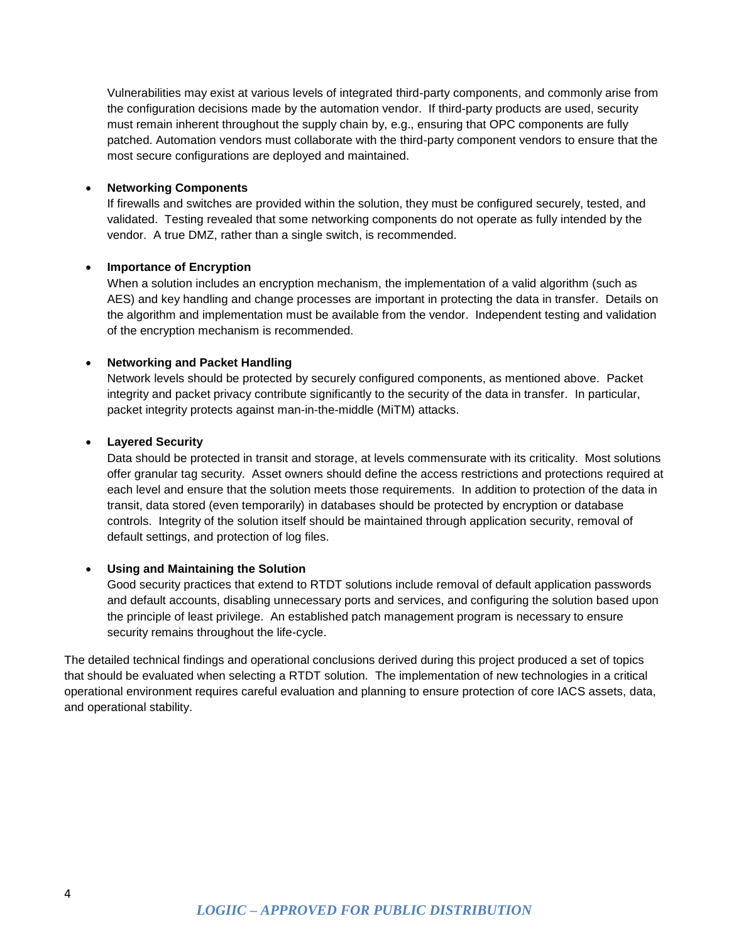Vulnerabilities may exist at various levels of integrated third-party components, and commonly arise from the configuration decisions made by the automation vendor. If third-party products are used, security must remain inherent throughout the supply chain by, e.g., ensuring that OPC components are fully patched. Automation vendors must collaborate with the third-party component vendors to ensure that the most secure configurations are deployed and maintained.

### **Networking Components**

If firewalls and switches are provided within the solution, they must be configured securely, tested, and validated. Testing revealed that some networking components do not operate as fully intended by the vendor. A true DMZ, rather than a single switch, is recommended.

### **Importance of Encryption**

When a solution includes an encryption mechanism, the implementation of a valid algorithm (such as AES) and key handling and change processes are important in protecting the data in transfer. Details on the algorithm and implementation must be available from the vendor. Independent testing and validation of the encryption mechanism is recommended.

### **Networking and Packet Handling**

Network levels should be protected by securely configured components, as mentioned above. Packet integrity and packet privacy contribute significantly to the security of the data in transfer. In particular, packet integrity protects against man-in-the-middle (MiTM) attacks.

### **Layered Security**

Data should be protected in transit and storage, at levels commensurate with its criticality. Most solutions offer granular tag security. Asset owners should define the access restrictions and protections required at each level and ensure that the solution meets those requirements. In addition to protection of the data in transit, data stored (even temporarily) in databases should be protected by encryption or database controls. Integrity of the solution itself should be maintained through application security, removal of default settings, and protection of log files.

### **Using and Maintaining the Solution**

Good security practices that extend to RTDT solutions include removal of default application passwords and default accounts, disabling unnecessary ports and services, and configuring the solution based upon the principle of least privilege. An established patch management program is necessary to ensure security remains throughout the life-cycle.

The detailed technical findings and operational conclusions derived during this project produced a set of topics that should be evaluated when selecting a RTDT solution. The implementation of new technologies in a critical operational environment requires careful evaluation and planning to ensure protection of core IACS assets, data, and operational stability.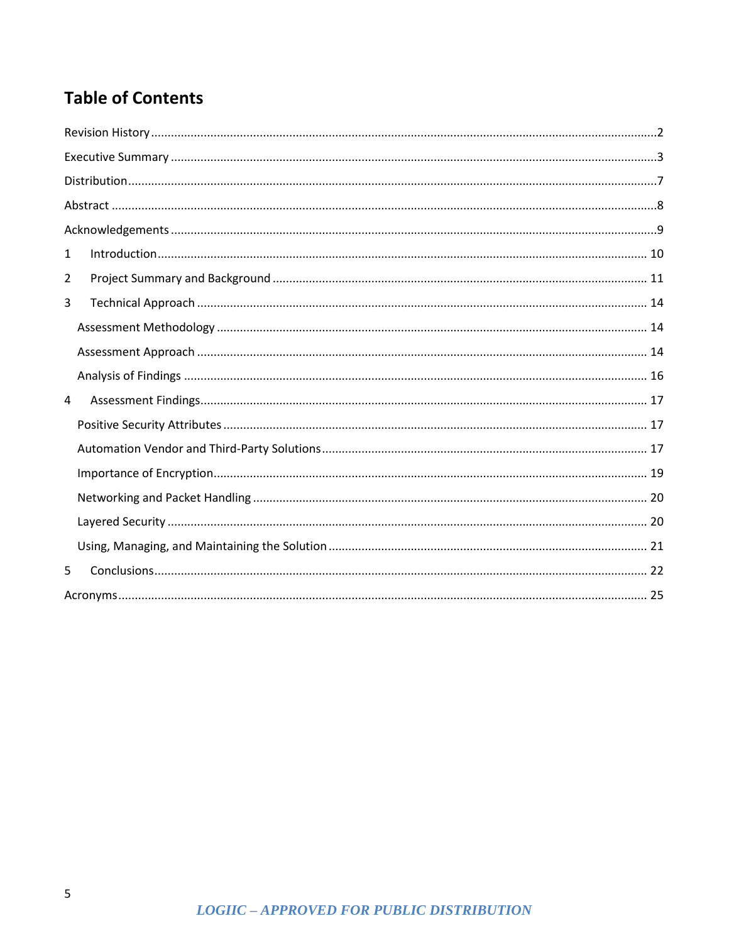## **Table of Contents**

| $\mathbf{1}$   |  |  |  |
|----------------|--|--|--|
| $\overline{2}$ |  |  |  |
| 3              |  |  |  |
|                |  |  |  |
|                |  |  |  |
|                |  |  |  |
| 4              |  |  |  |
|                |  |  |  |
|                |  |  |  |
|                |  |  |  |
|                |  |  |  |
|                |  |  |  |
|                |  |  |  |
| 5              |  |  |  |
|                |  |  |  |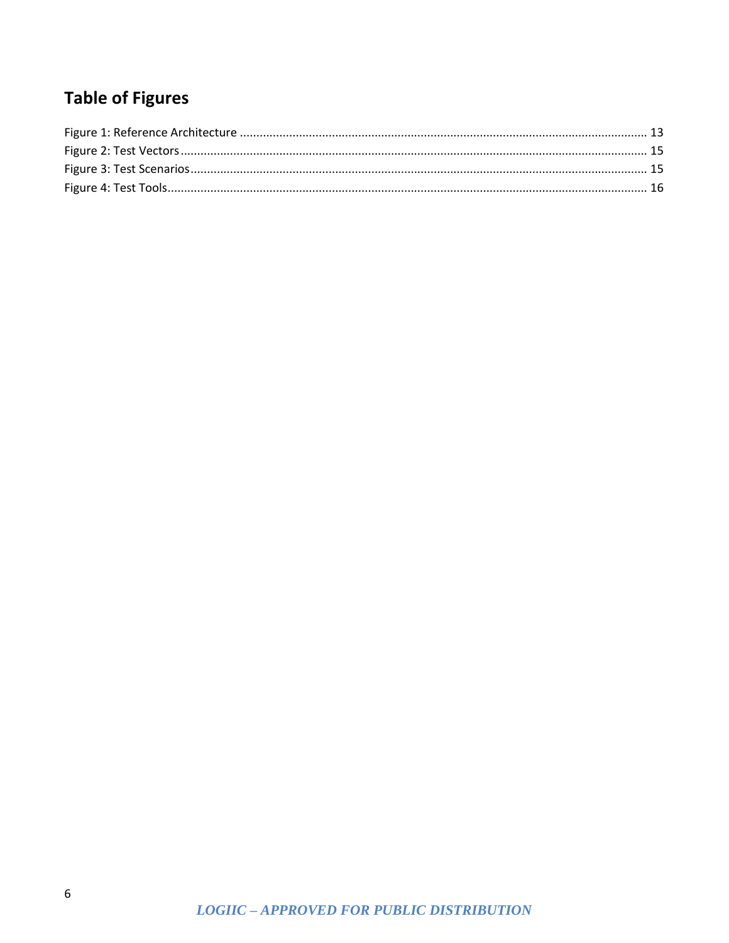## **Table of Figures**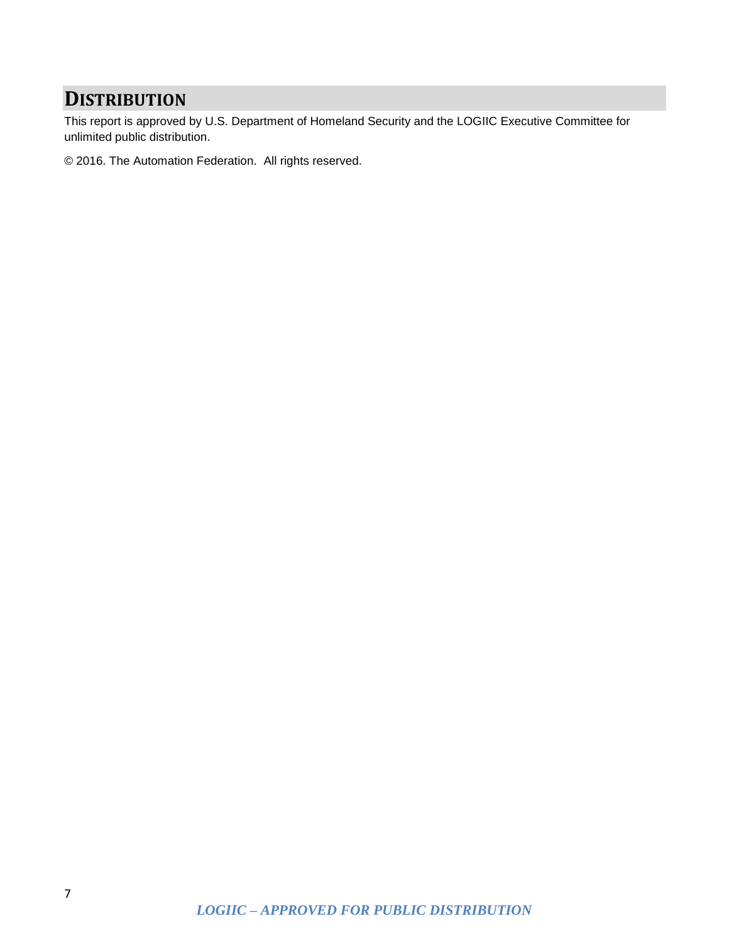### <span id="page-6-0"></span>**DISTRIBUTION**

This report is approved by U.S. Department of Homeland Security and the LOGIIC Executive Committee for unlimited public distribution.

© 2016. The Automation Federation. All rights reserved.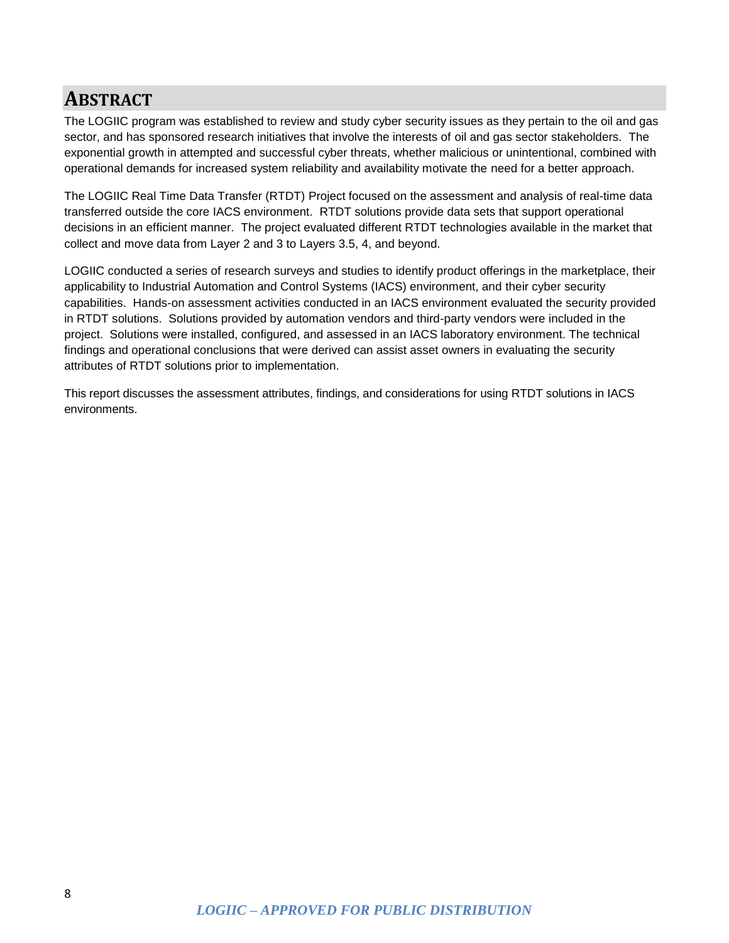### <span id="page-7-0"></span>**ABSTRACT**

The LOGIIC program was established to review and study cyber security issues as they pertain to the oil and gas sector, and has sponsored research initiatives that involve the interests of oil and gas sector stakeholders. The exponential growth in attempted and successful cyber threats, whether malicious or unintentional, combined with operational demands for increased system reliability and availability motivate the need for a better approach.

The LOGIIC Real Time Data Transfer (RTDT) Project focused on the assessment and analysis of real-time data transferred outside the core IACS environment. RTDT solutions provide data sets that support operational decisions in an efficient manner. The project evaluated different RTDT technologies available in the market that collect and move data from Layer 2 and 3 to Layers 3.5, 4, and beyond.

LOGIIC conducted a series of research surveys and studies to identify product offerings in the marketplace, their applicability to Industrial Automation and Control Systems (IACS) environment, and their cyber security capabilities. Hands-on assessment activities conducted in an IACS environment evaluated the security provided in RTDT solutions. Solutions provided by automation vendors and third-party vendors were included in the project. Solutions were installed, configured, and assessed in an IACS laboratory environment. The technical findings and operational conclusions that were derived can assist asset owners in evaluating the security attributes of RTDT solutions prior to implementation.

This report discusses the assessment attributes, findings, and considerations for using RTDT solutions in IACS environments.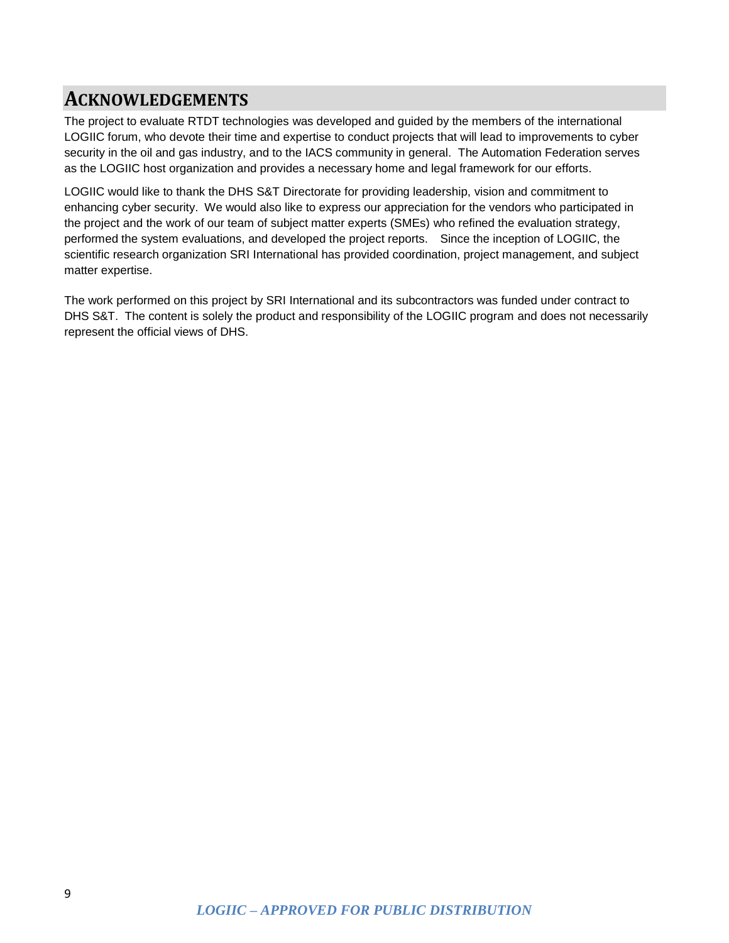### <span id="page-8-0"></span>**ACKNOWLEDGEMENTS**

The project to evaluate RTDT technologies was developed and guided by the members of the international LOGIIC forum, who devote their time and expertise to conduct projects that will lead to improvements to cyber security in the oil and gas industry, and to the IACS community in general. The Automation Federation serves as the LOGIIC host organization and provides a necessary home and legal framework for our efforts.

LOGIIC would like to thank the DHS S&T Directorate for providing leadership, vision and commitment to enhancing cyber security. We would also like to express our appreciation for the vendors who participated in the project and the work of our team of subject matter experts (SMEs) who refined the evaluation strategy, performed the system evaluations, and developed the project reports. Since the inception of LOGIIC, the scientific research organization SRI International has provided coordination, project management, and subject matter expertise.

The work performed on this project by SRI International and its subcontractors was funded under contract to DHS S&T. The content is solely the product and responsibility of the LOGIIC program and does not necessarily represent the official views of DHS.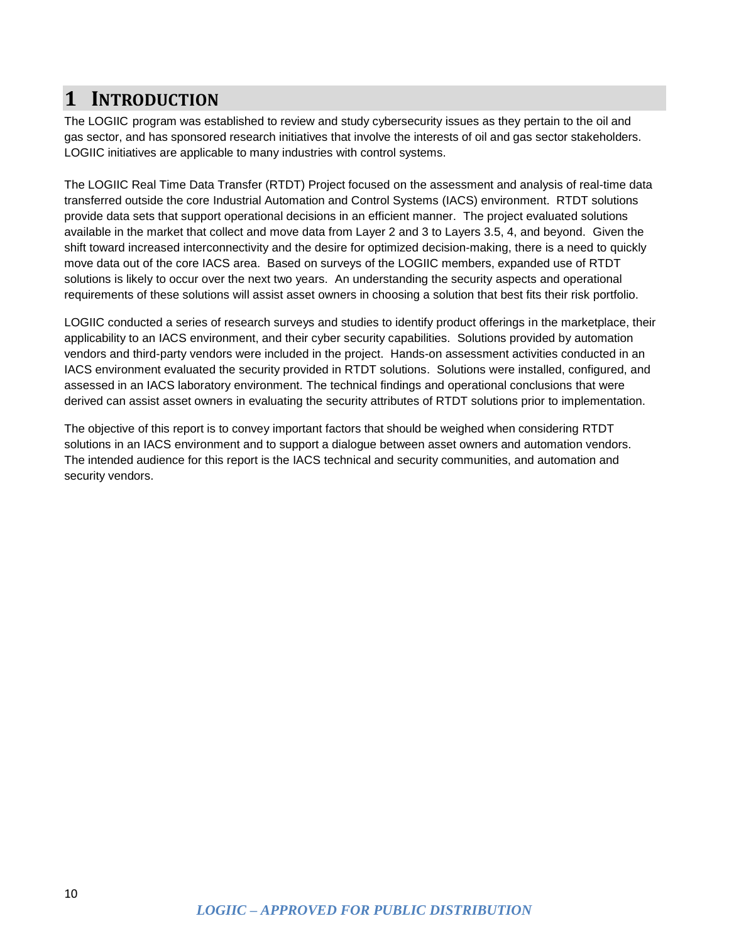### <span id="page-9-0"></span>**1 INTRODUCTION**

The LOGIIC program was established to review and study cybersecurity issues as they pertain to the oil and gas sector, and has sponsored research initiatives that involve the interests of oil and gas sector stakeholders. LOGIIC initiatives are applicable to many industries with control systems.

The LOGIIC Real Time Data Transfer (RTDT) Project focused on the assessment and analysis of real-time data transferred outside the core Industrial Automation and Control Systems (IACS) environment. RTDT solutions provide data sets that support operational decisions in an efficient manner. The project evaluated solutions available in the market that collect and move data from Layer 2 and 3 to Layers 3.5, 4, and beyond. Given the shift toward increased interconnectivity and the desire for optimized decision-making, there is a need to quickly move data out of the core IACS area. Based on surveys of the LOGIIC members, expanded use of RTDT solutions is likely to occur over the next two years. An understanding the security aspects and operational requirements of these solutions will assist asset owners in choosing a solution that best fits their risk portfolio.

LOGIIC conducted a series of research surveys and studies to identify product offerings in the marketplace, their applicability to an IACS environment, and their cyber security capabilities. Solutions provided by automation vendors and third-party vendors were included in the project. Hands-on assessment activities conducted in an IACS environment evaluated the security provided in RTDT solutions. Solutions were installed, configured, and assessed in an IACS laboratory environment. The technical findings and operational conclusions that were derived can assist asset owners in evaluating the security attributes of RTDT solutions prior to implementation.

The objective of this report is to convey important factors that should be weighed when considering RTDT solutions in an IACS environment and to support a dialogue between asset owners and automation vendors. The intended audience for this report is the IACS technical and security communities, and automation and security vendors.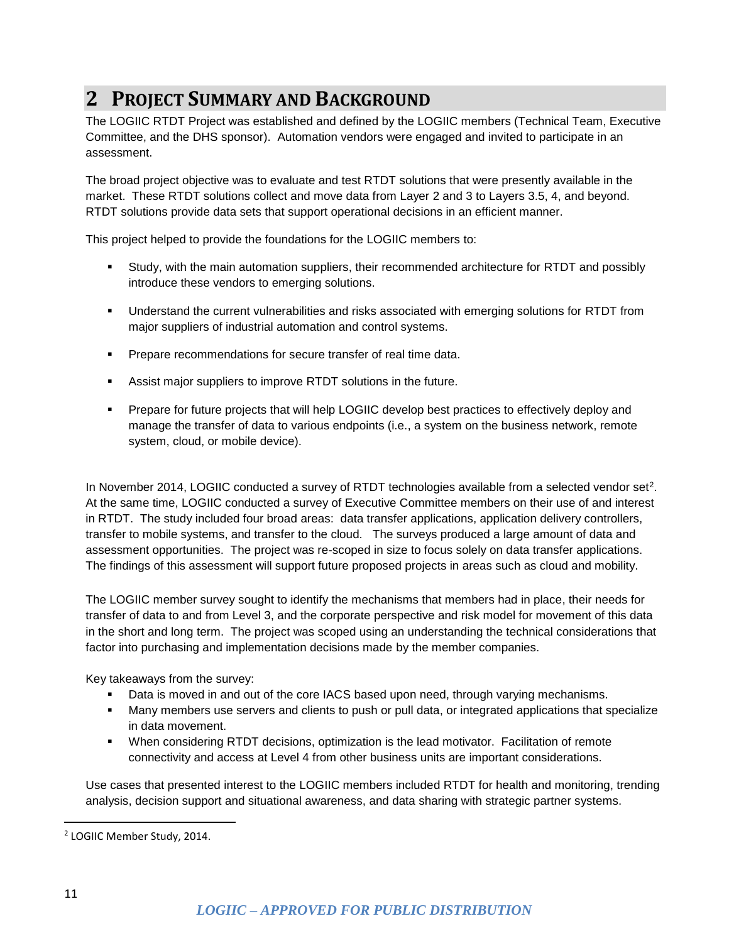## <span id="page-10-0"></span>**2 PROJECT SUMMARY AND BACKGROUND**

The LOGIIC RTDT Project was established and defined by the LOGIIC members (Technical Team, Executive Committee, and the DHS sponsor). Automation vendors were engaged and invited to participate in an assessment.

The broad project objective was to evaluate and test RTDT solutions that were presently available in the market. These RTDT solutions collect and move data from Layer 2 and 3 to Layers 3.5, 4, and beyond. RTDT solutions provide data sets that support operational decisions in an efficient manner.

This project helped to provide the foundations for the LOGIIC members to:

- Study, with the main automation suppliers, their recommended architecture for RTDT and possibly introduce these vendors to emerging solutions.
- Understand the current vulnerabilities and risks associated with emerging solutions for RTDT from major suppliers of industrial automation and control systems.
- **Prepare recommendations for secure transfer of real time data.**
- Assist major suppliers to improve RTDT solutions in the future.
- Prepare for future projects that will help LOGIIC develop best practices to effectively deploy and manage the transfer of data to various endpoints (i.e., a system on the business network, remote system, cloud, or mobile device).

In November 2014, LOGIIC conducted a survey of RTDT technologies available from a selected vendor set<sup>2</sup>. At the same time, LOGIIC conducted a survey of Executive Committee members on their use of and interest in RTDT. The study included four broad areas: data transfer applications, application delivery controllers, transfer to mobile systems, and transfer to the cloud. The surveys produced a large amount of data and assessment opportunities. The project was re-scoped in size to focus solely on data transfer applications. The findings of this assessment will support future proposed projects in areas such as cloud and mobility.

The LOGIIC member survey sought to identify the mechanisms that members had in place, their needs for transfer of data to and from Level 3, and the corporate perspective and risk model for movement of this data in the short and long term. The project was scoped using an understanding the technical considerations that factor into purchasing and implementation decisions made by the member companies.

Key takeaways from the survey:

- Data is moved in and out of the core IACS based upon need, through varying mechanisms.
- Many members use servers and clients to push or pull data, or integrated applications that specialize in data movement.
- When considering RTDT decisions, optimization is the lead motivator. Facilitation of remote connectivity and access at Level 4 from other business units are important considerations.

Use cases that presented interest to the LOGIIC members included RTDT for health and monitoring, trending analysis, decision support and situational awareness, and data sharing with strategic partner systems.

l

<sup>2</sup> LOGIIC Member Study, 2014.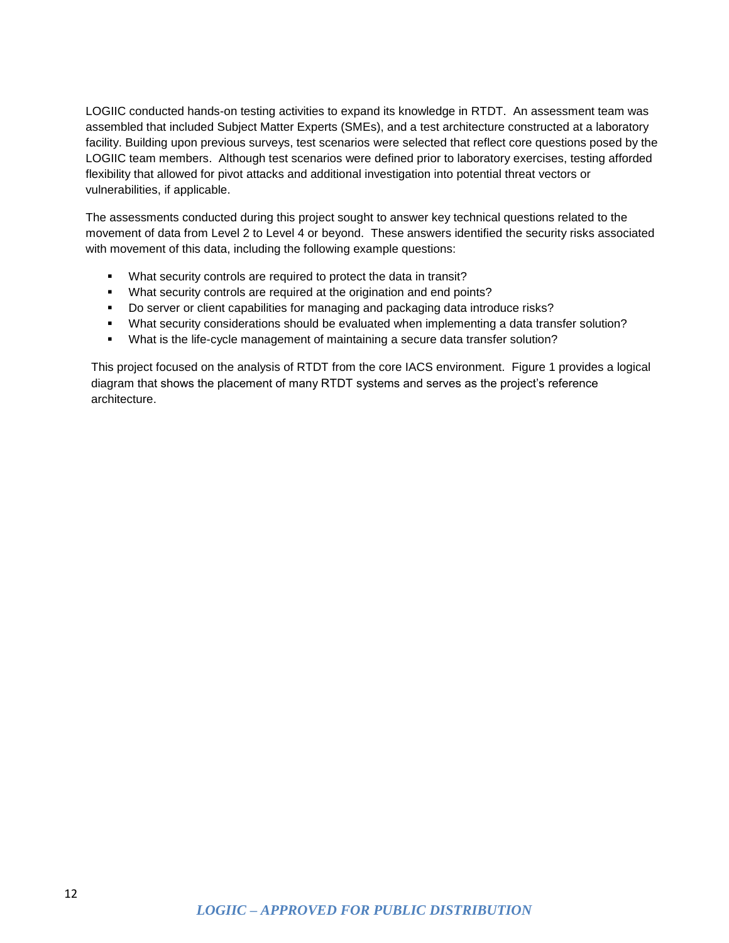LOGIIC conducted hands-on testing activities to expand its knowledge in RTDT. An assessment team was assembled that included Subject Matter Experts (SMEs), and a test architecture constructed at a laboratory facility. Building upon previous surveys, test scenarios were selected that reflect core questions posed by the LOGIIC team members. Although test scenarios were defined prior to laboratory exercises, testing afforded flexibility that allowed for pivot attacks and additional investigation into potential threat vectors or vulnerabilities, if applicable.

The assessments conducted during this project sought to answer key technical questions related to the movement of data from Level 2 to Level 4 or beyond. These answers identified the security risks associated with movement of this data, including the following example questions:

- What security controls are required to protect the data in transit?
- What security controls are required at the origination and end points?
- Do server or client capabilities for managing and packaging data introduce risks?
- What security considerations should be evaluated when implementing a data transfer solution?
- What is the life-cycle management of maintaining a secure data transfer solution?

This project focused on the analysis of RTDT from the core IACS environment. Figure 1 provides a logical diagram that shows the placement of many RTDT systems and serves as the project's reference architecture.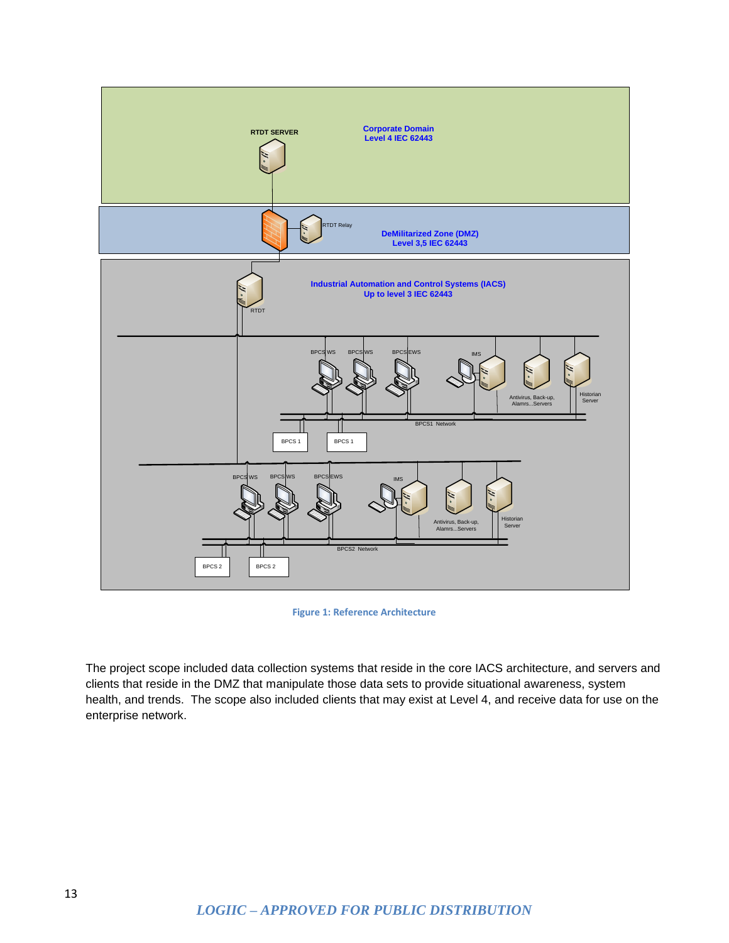

**Figure 1: Reference Architecture**

<span id="page-12-0"></span>The project scope included data collection systems that reside in the core IACS architecture, and servers and clients that reside in the DMZ that manipulate those data sets to provide situational awareness, system health, and trends. The scope also included clients that may exist at Level 4, and receive data for use on the enterprise network.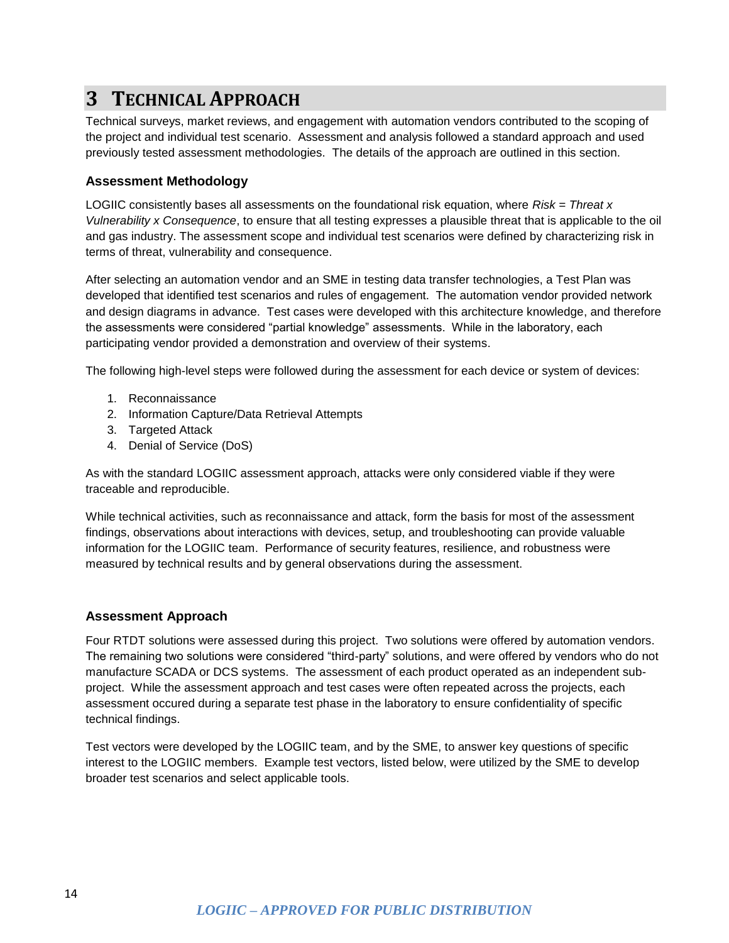## <span id="page-13-0"></span>**3 TECHNICAL APPROACH**

Technical surveys, market reviews, and engagement with automation vendors contributed to the scoping of the project and individual test scenario. Assessment and analysis followed a standard approach and used previously tested assessment methodologies. The details of the approach are outlined in this section.

### <span id="page-13-1"></span>**Assessment Methodology**

LOGIIC consistently bases all assessments on the foundational risk equation, where *Risk = Threat x Vulnerability x Consequence*, to ensure that all testing expresses a plausible threat that is applicable to the oil and gas industry. The assessment scope and individual test scenarios were defined by characterizing risk in terms of threat, vulnerability and consequence.

After selecting an automation vendor and an SME in testing data transfer technologies, a Test Plan was developed that identified test scenarios and rules of engagement. The automation vendor provided network and design diagrams in advance. Test cases were developed with this architecture knowledge, and therefore the assessments were considered "partial knowledge" assessments. While in the laboratory, each participating vendor provided a demonstration and overview of their systems.

The following high-level steps were followed during the assessment for each device or system of devices:

- 1. Reconnaissance
- 2. Information Capture/Data Retrieval Attempts
- 3. Targeted Attack
- 4. Denial of Service (DoS)

As with the standard LOGIIC assessment approach, attacks were only considered viable if they were traceable and reproducible.

While technical activities, such as reconnaissance and attack, form the basis for most of the assessment findings, observations about interactions with devices, setup, and troubleshooting can provide valuable information for the LOGIIC team. Performance of security features, resilience, and robustness were measured by technical results and by general observations during the assessment.

### <span id="page-13-2"></span>**Assessment Approach**

Four RTDT solutions were assessed during this project. Two solutions were offered by automation vendors. The remaining two solutions were considered "third-party" solutions, and were offered by vendors who do not manufacture SCADA or DCS systems. The assessment of each product operated as an independent subproject. While the assessment approach and test cases were often repeated across the projects, each assessment occured during a separate test phase in the laboratory to ensure confidentiality of specific technical findings.

Test vectors were developed by the LOGIIC team, and by the SME, to answer key questions of specific interest to the LOGIIC members. Example test vectors, listed below, were utilized by the SME to develop broader test scenarios and select applicable tools.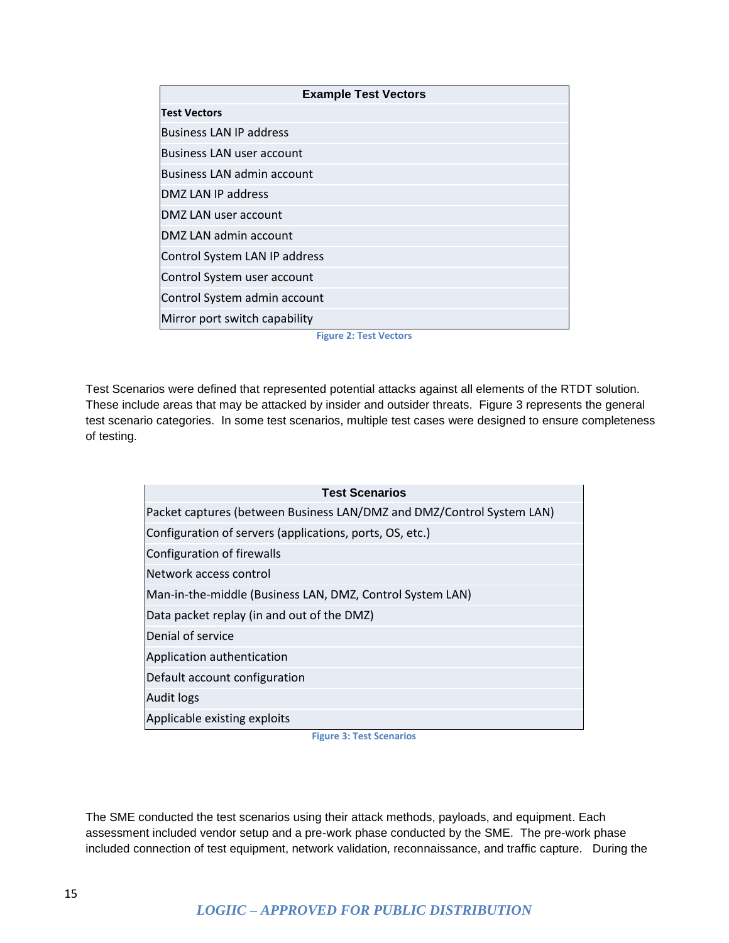| <b>Example Test Vectors</b>    |  |  |
|--------------------------------|--|--|
| <b>Test Vectors</b>            |  |  |
| <b>Business LAN IP address</b> |  |  |
| Business LAN user account      |  |  |
| Business LAN admin account     |  |  |
| DMZ LAN IP address             |  |  |
| DMZ LAN user account           |  |  |
| DMZ LAN admin account          |  |  |
| Control System LAN IP address  |  |  |
| Control System user account    |  |  |
| Control System admin account   |  |  |
| Mirror port switch capability  |  |  |

**Figure 2: Test Vectors**

<span id="page-14-0"></span>Test Scenarios were defined that represented potential attacks against all elements of the RTDT solution. These include areas that may be attacked by insider and outsider threats. Figure 3 represents the general test scenario categories. In some test scenarios, multiple test cases were designed to ensure completeness of testing.

| <b>Test Scenarios</b>                                                 |  |  |
|-----------------------------------------------------------------------|--|--|
| Packet captures (between Business LAN/DMZ and DMZ/Control System LAN) |  |  |
| Configuration of servers (applications, ports, OS, etc.)              |  |  |
| Configuration of firewalls                                            |  |  |
| Network access control                                                |  |  |
| Man-in-the-middle (Business LAN, DMZ, Control System LAN)             |  |  |
| Data packet replay (in and out of the DMZ)                            |  |  |
| Denial of service                                                     |  |  |
| Application authentication                                            |  |  |
| Default account configuration                                         |  |  |
| Audit logs                                                            |  |  |
| Applicable existing exploits                                          |  |  |

**Figure 3: Test Scenarios**

<span id="page-14-1"></span>The SME conducted the test scenarios using their attack methods, payloads, and equipment. Each assessment included vendor setup and a pre-work phase conducted by the SME. The pre-work phase included connection of test equipment, network validation, reconnaissance, and traffic capture. During the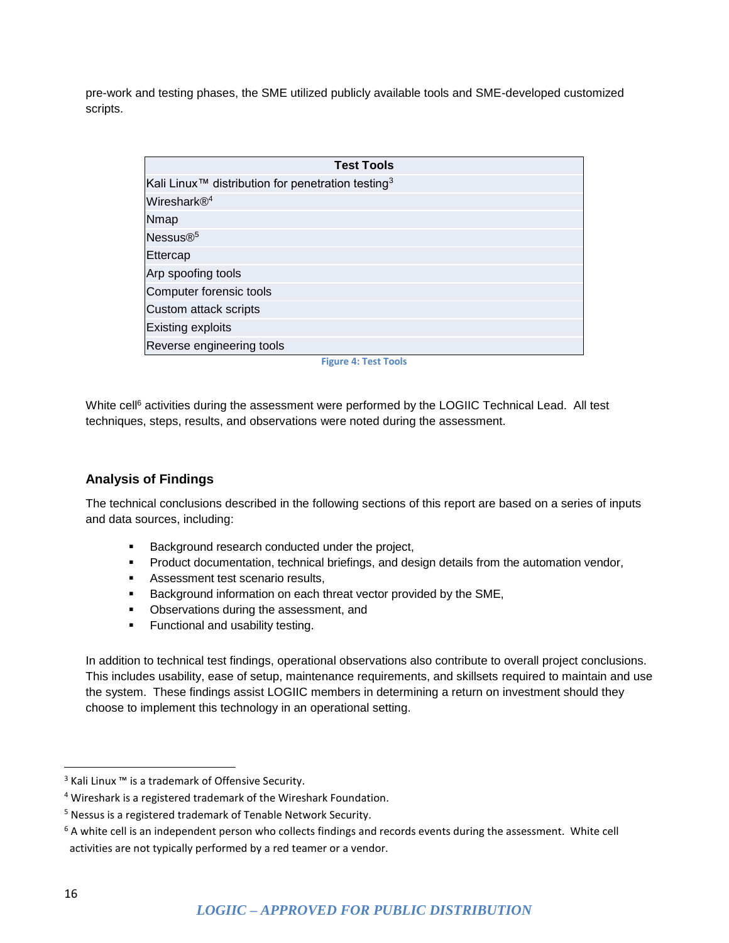pre-work and testing phases, the SME utilized publicly available tools and SME-developed customized scripts.

| <b>Test Tools</b>                                                                  |
|------------------------------------------------------------------------------------|
| $\mathsf{\mathsf{K}}$ ali Linux™ distribution for penetration testing <sup>3</sup> |
| Wireshark® <sup>4</sup>                                                            |
| <b>Nmap</b>                                                                        |
| Nessus $\mathbb{R}^5$                                                              |
| Ettercap                                                                           |
| Arp spoofing tools                                                                 |
| Computer forensic tools                                                            |
| Custom attack scripts                                                              |
| Existing exploits                                                                  |
| Reverse engineering tools                                                          |
|                                                                                    |

**Figure 4: Test Tools**

<span id="page-15-1"></span>White cell<sup>6</sup> activities during the assessment were performed by the LOGIIC Technical Lead. All test techniques, steps, results, and observations were noted during the assessment.

### <span id="page-15-0"></span>**Analysis of Findings**

The technical conclusions described in the following sections of this report are based on a series of inputs and data sources, including:

- **Background research conducted under the project,**
- **Product documentation, technical briefings, and design details from the automation vendor,**
- **Assessment test scenario results,**
- **Background information on each threat vector provided by the SME,**
- **•** Observations during the assessment, and
- **Functional and usability testing.**

In addition to technical test findings, operational observations also contribute to overall project conclusions. This includes usability, ease of setup, maintenance requirements, and skillsets required to maintain and use the system. These findings assist LOGIIC members in determining a return on investment should they choose to implement this technology in an operational setting.

 $\overline{a}$ 

<sup>&</sup>lt;sup>3</sup> Kali Linux <sup>™</sup> is a trademark of Offensive Security.

<sup>4</sup> Wireshark is a registered trademark of the Wireshark Foundation.

<sup>5</sup> Nessus is a registered trademark of Tenable Network Security.

 $6$  A white cell is an independent person who collects findings and records events during the assessment. White cell activities are not typically performed by a red teamer or a vendor.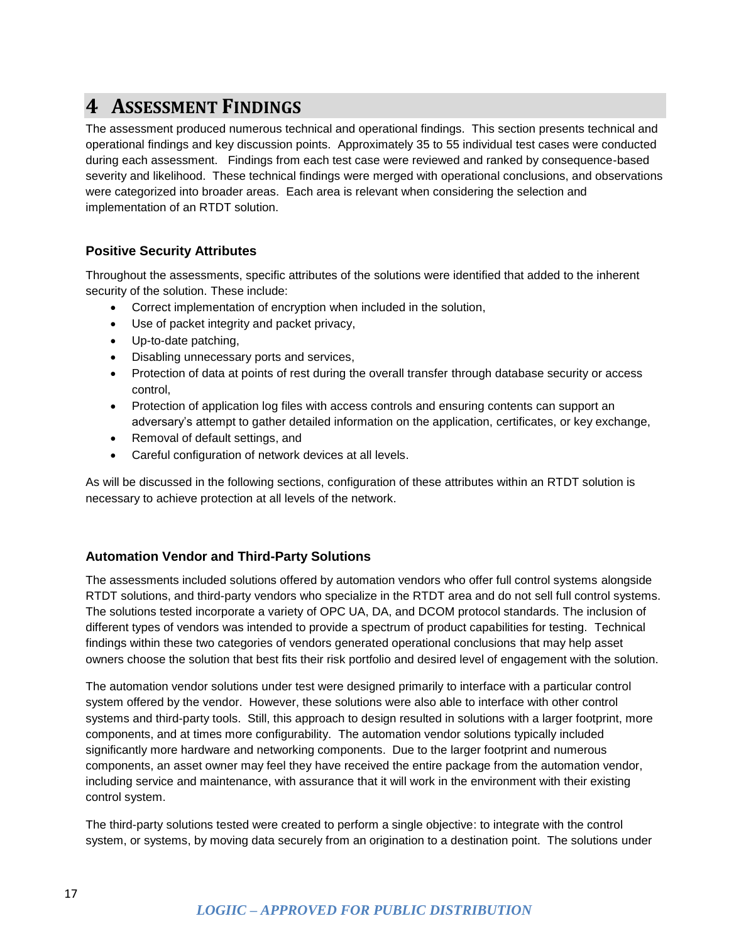### <span id="page-16-0"></span>**4 ASSESSMENT FINDINGS**

The assessment produced numerous technical and operational findings. This section presents technical and operational findings and key discussion points. Approximately 35 to 55 individual test cases were conducted during each assessment. Findings from each test case were reviewed and ranked by consequence-based severity and likelihood. These technical findings were merged with operational conclusions, and observations were categorized into broader areas. Each area is relevant when considering the selection and implementation of an RTDT solution.

### <span id="page-16-1"></span>**Positive Security Attributes**

Throughout the assessments, specific attributes of the solutions were identified that added to the inherent security of the solution. These include:

- Correct implementation of encryption when included in the solution,
- Use of packet integrity and packet privacy,
- Up-to-date patching,
- Disabling unnecessary ports and services,
- Protection of data at points of rest during the overall transfer through database security or access control,
- Protection of application log files with access controls and ensuring contents can support an adversary's attempt to gather detailed information on the application, certificates, or key exchange,
- Removal of default settings, and
- Careful configuration of network devices at all levels.

As will be discussed in the following sections, configuration of these attributes within an RTDT solution is necessary to achieve protection at all levels of the network.

### <span id="page-16-2"></span>**Automation Vendor and Third-Party Solutions**

The assessments included solutions offered by automation vendors who offer full control systems alongside RTDT solutions, and third-party vendors who specialize in the RTDT area and do not sell full control systems. The solutions tested incorporate a variety of OPC UA, DA, and DCOM protocol standards. The inclusion of different types of vendors was intended to provide a spectrum of product capabilities for testing. Technical findings within these two categories of vendors generated operational conclusions that may help asset owners choose the solution that best fits their risk portfolio and desired level of engagement with the solution.

The automation vendor solutions under test were designed primarily to interface with a particular control system offered by the vendor. However, these solutions were also able to interface with other control systems and third-party tools. Still, this approach to design resulted in solutions with a larger footprint, more components, and at times more configurability. The automation vendor solutions typically included significantly more hardware and networking components. Due to the larger footprint and numerous components, an asset owner may feel they have received the entire package from the automation vendor, including service and maintenance, with assurance that it will work in the environment with their existing control system.

The third-party solutions tested were created to perform a single objective: to integrate with the control system, or systems, by moving data securely from an origination to a destination point. The solutions under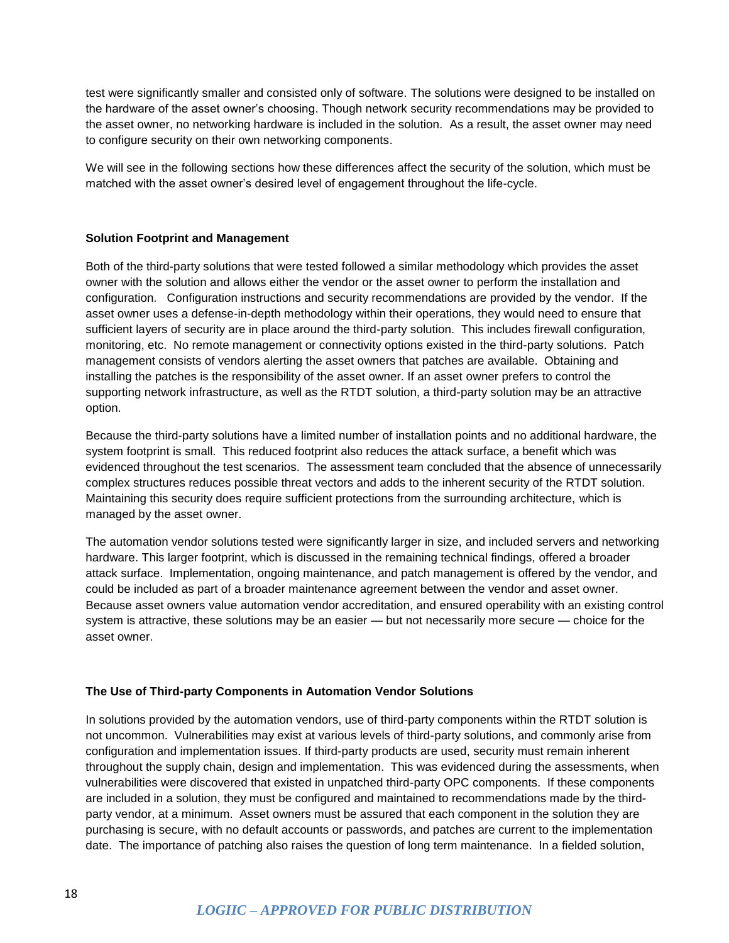test were significantly smaller and consisted only of software. The solutions were designed to be installed on the hardware of the asset owner's choosing. Though network security recommendations may be provided to the asset owner, no networking hardware is included in the solution. As a result, the asset owner may need to configure security on their own networking components.

We will see in the following sections how these differences affect the security of the solution, which must be matched with the asset owner's desired level of engagement throughout the life-cycle.

### **Solution Footprint and Management**

Both of the third-party solutions that were tested followed a similar methodology which provides the asset owner with the solution and allows either the vendor or the asset owner to perform the installation and configuration. Configuration instructions and security recommendations are provided by the vendor. If the asset owner uses a defense-in-depth methodology within their operations, they would need to ensure that sufficient layers of security are in place around the third-party solution. This includes firewall configuration, monitoring, etc. No remote management or connectivity options existed in the third-party solutions. Patch management consists of vendors alerting the asset owners that patches are available. Obtaining and installing the patches is the responsibility of the asset owner. If an asset owner prefers to control the supporting network infrastructure, as well as the RTDT solution, a third-party solution may be an attractive option.

Because the third-party solutions have a limited number of installation points and no additional hardware, the system footprint is small. This reduced footprint also reduces the attack surface, a benefit which was evidenced throughout the test scenarios. The assessment team concluded that the absence of unnecessarily complex structures reduces possible threat vectors and adds to the inherent security of the RTDT solution. Maintaining this security does require sufficient protections from the surrounding architecture, which is managed by the asset owner.

The automation vendor solutions tested were significantly larger in size, and included servers and networking hardware. This larger footprint, which is discussed in the remaining technical findings, offered a broader attack surface. Implementation, ongoing maintenance, and patch management is offered by the vendor, and could be included as part of a broader maintenance agreement between the vendor and asset owner. Because asset owners value automation vendor accreditation, and ensured operability with an existing control system is attractive, these solutions may be an easier *—* but not necessarily more secure *—* choice for the asset owner.

### **The Use of Third-party Components in Automation Vendor Solutions**

In solutions provided by the automation vendors, use of third-party components within the RTDT solution is not uncommon. Vulnerabilities may exist at various levels of third-party solutions, and commonly arise from configuration and implementation issues. If third-party products are used, security must remain inherent throughout the supply chain, design and implementation. This was evidenced during the assessments, when vulnerabilities were discovered that existed in unpatched third-party OPC components. If these components are included in a solution, they must be configured and maintained to recommendations made by the thirdparty vendor, at a minimum. Asset owners must be assured that each component in the solution they are purchasing is secure, with no default accounts or passwords, and patches are current to the implementation date. The importance of patching also raises the question of long term maintenance. In a fielded solution,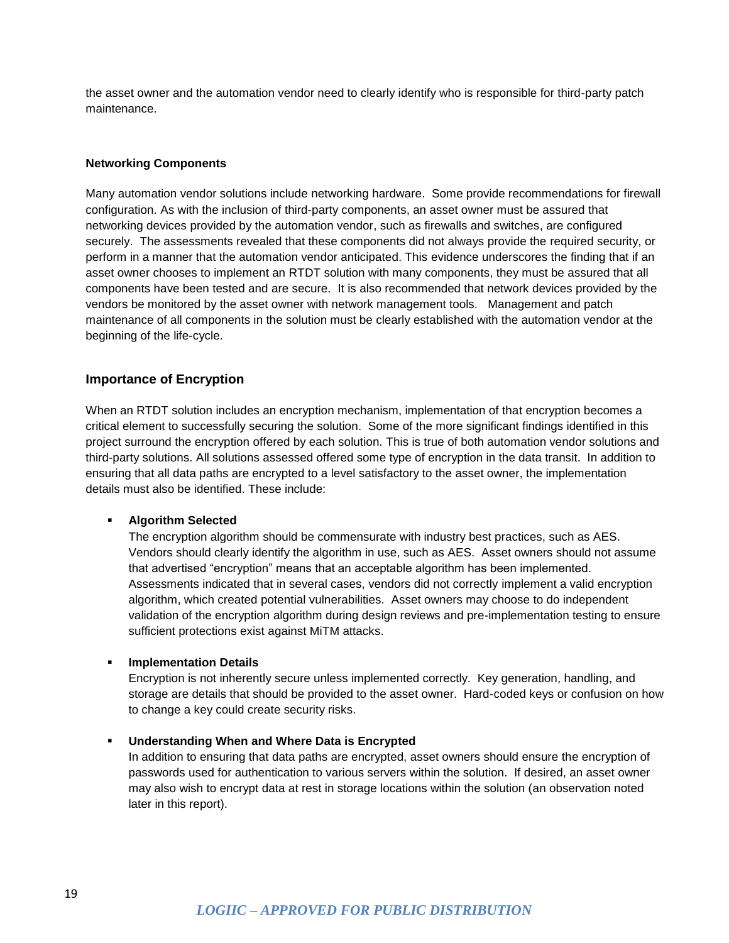the asset owner and the automation vendor need to clearly identify who is responsible for third-party patch maintenance.

#### **Networking Components**

Many automation vendor solutions include networking hardware. Some provide recommendations for firewall configuration. As with the inclusion of third-party components, an asset owner must be assured that networking devices provided by the automation vendor, such as firewalls and switches, are configured securely. The assessments revealed that these components did not always provide the required security, or perform in a manner that the automation vendor anticipated. This evidence underscores the finding that if an asset owner chooses to implement an RTDT solution with many components, they must be assured that all components have been tested and are secure. It is also recommended that network devices provided by the vendors be monitored by the asset owner with network management tools. Management and patch maintenance of all components in the solution must be clearly established with the automation vendor at the beginning of the life-cycle.

### <span id="page-18-0"></span>**Importance of Encryption**

When an RTDT solution includes an encryption mechanism, implementation of that encryption becomes a critical element to successfully securing the solution. Some of the more significant findings identified in this project surround the encryption offered by each solution. This is true of both automation vendor solutions and third-party solutions. All solutions assessed offered some type of encryption in the data transit. In addition to ensuring that all data paths are encrypted to a level satisfactory to the asset owner, the implementation details must also be identified. These include:

### **Algorithm Selected**

The encryption algorithm should be commensurate with industry best practices, such as AES. Vendors should clearly identify the algorithm in use, such as AES. Asset owners should not assume that advertised "encryption" means that an acceptable algorithm has been implemented. Assessments indicated that in several cases, vendors did not correctly implement a valid encryption algorithm, which created potential vulnerabilities. Asset owners may choose to do independent validation of the encryption algorithm during design reviews and pre-implementation testing to ensure sufficient protections exist against MiTM attacks.

#### **Implementation Details**

Encryption is not inherently secure unless implemented correctly. Key generation, handling, and storage are details that should be provided to the asset owner. Hard-coded keys or confusion on how to change a key could create security risks.

#### **Understanding When and Where Data is Encrypted**

In addition to ensuring that data paths are encrypted, asset owners should ensure the encryption of passwords used for authentication to various servers within the solution. If desired, an asset owner may also wish to encrypt data at rest in storage locations within the solution (an observation noted later in this report).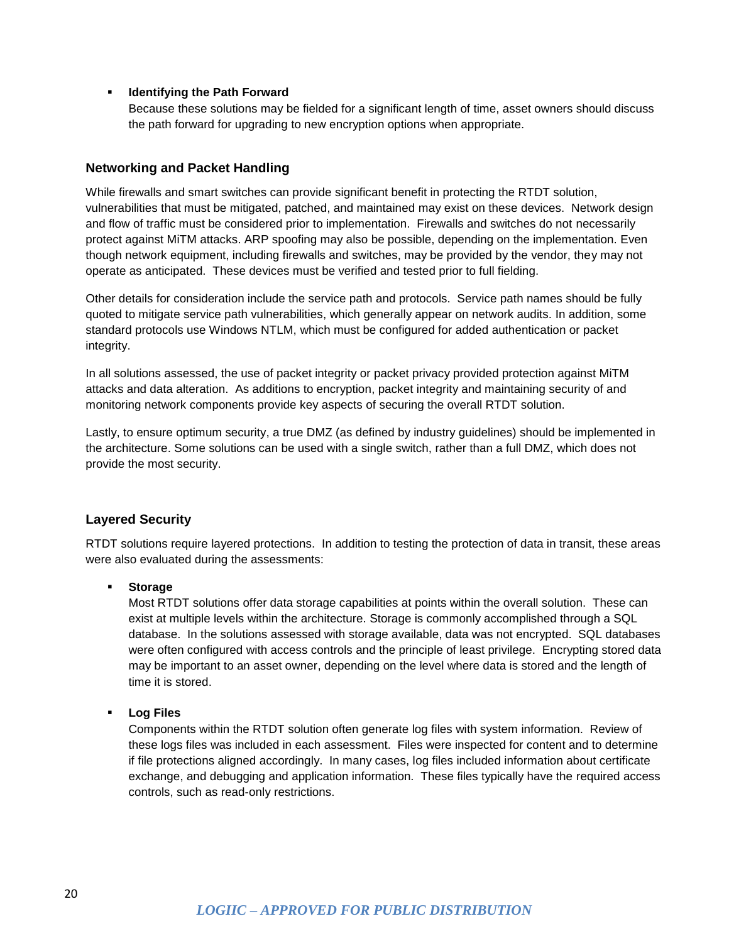### **IDENTIFY IDENTIFYING THE PATH FORWARD**

Because these solutions may be fielded for a significant length of time, asset owners should discuss the path forward for upgrading to new encryption options when appropriate.

### <span id="page-19-0"></span>**Networking and Packet Handling**

While firewalls and smart switches can provide significant benefit in protecting the RTDT solution, vulnerabilities that must be mitigated, patched, and maintained may exist on these devices. Network design and flow of traffic must be considered prior to implementation. Firewalls and switches do not necessarily protect against MiTM attacks. ARP spoofing may also be possible, depending on the implementation. Even though network equipment, including firewalls and switches, may be provided by the vendor, they may not operate as anticipated. These devices must be verified and tested prior to full fielding.

Other details for consideration include the service path and protocols. Service path names should be fully quoted to mitigate service path vulnerabilities, which generally appear on network audits. In addition, some standard protocols use Windows NTLM, which must be configured for added authentication or packet integrity.

In all solutions assessed, the use of packet integrity or packet privacy provided protection against MiTM attacks and data alteration. As additions to encryption, packet integrity and maintaining security of and monitoring network components provide key aspects of securing the overall RTDT solution.

Lastly, to ensure optimum security, a true DMZ (as defined by industry guidelines) should be implemented in the architecture. Some solutions can be used with a single switch, rather than a full DMZ, which does not provide the most security.

### <span id="page-19-1"></span>**Layered Security**

RTDT solutions require layered protections. In addition to testing the protection of data in transit, these areas were also evaluated during the assessments:

#### **Storage**

Most RTDT solutions offer data storage capabilities at points within the overall solution. These can exist at multiple levels within the architecture. Storage is commonly accomplished through a SQL database. In the solutions assessed with storage available, data was not encrypted. SQL databases were often configured with access controls and the principle of least privilege. Encrypting stored data may be important to an asset owner, depending on the level where data is stored and the length of time it is stored.

#### **Log Files**

Components within the RTDT solution often generate log files with system information. Review of these logs files was included in each assessment. Files were inspected for content and to determine if file protections aligned accordingly. In many cases, log files included information about certificate exchange, and debugging and application information. These files typically have the required access controls, such as read-only restrictions.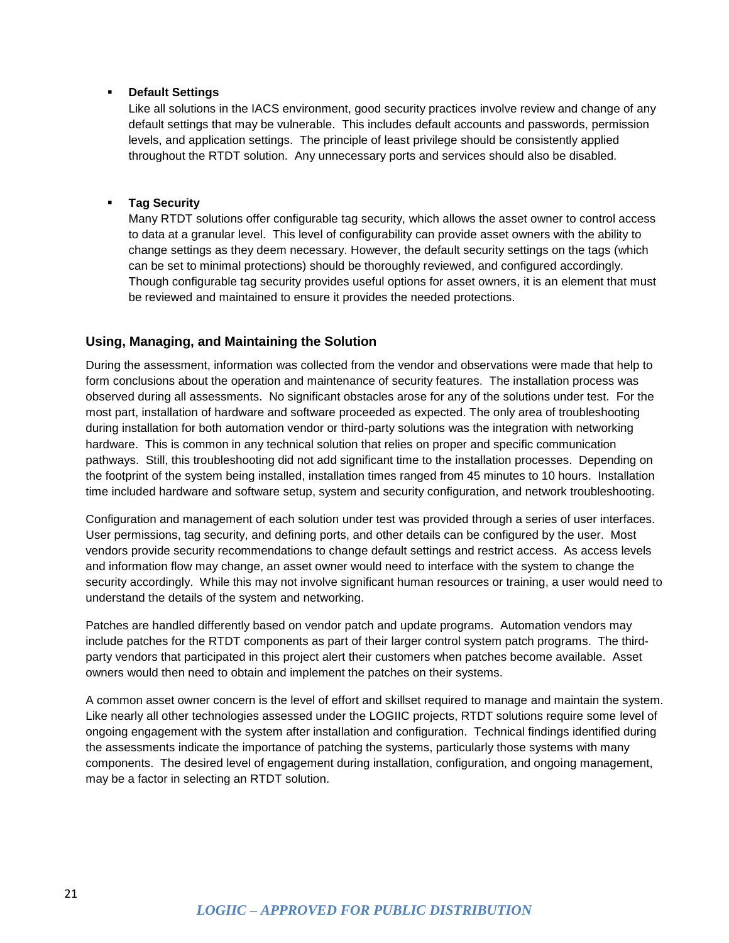### **Default Settings**

Like all solutions in the IACS environment, good security practices involve review and change of any default settings that may be vulnerable. This includes default accounts and passwords, permission levels, and application settings. The principle of least privilege should be consistently applied throughout the RTDT solution. Any unnecessary ports and services should also be disabled.

### **Tag Security**

Many RTDT solutions offer configurable tag security, which allows the asset owner to control access to data at a granular level. This level of configurability can provide asset owners with the ability to change settings as they deem necessary. However, the default security settings on the tags (which can be set to minimal protections) should be thoroughly reviewed, and configured accordingly. Though configurable tag security provides useful options for asset owners, it is an element that must be reviewed and maintained to ensure it provides the needed protections.

### <span id="page-20-0"></span>**Using, Managing, and Maintaining the Solution**

During the assessment, information was collected from the vendor and observations were made that help to form conclusions about the operation and maintenance of security features. The installation process was observed during all assessments. No significant obstacles arose for any of the solutions under test. For the most part, installation of hardware and software proceeded as expected. The only area of troubleshooting during installation for both automation vendor or third-party solutions was the integration with networking hardware. This is common in any technical solution that relies on proper and specific communication pathways. Still, this troubleshooting did not add significant time to the installation processes. Depending on the footprint of the system being installed, installation times ranged from 45 minutes to 10 hours. Installation time included hardware and software setup, system and security configuration, and network troubleshooting.

Configuration and management of each solution under test was provided through a series of user interfaces. User permissions, tag security, and defining ports, and other details can be configured by the user. Most vendors provide security recommendations to change default settings and restrict access. As access levels and information flow may change, an asset owner would need to interface with the system to change the security accordingly. While this may not involve significant human resources or training, a user would need to understand the details of the system and networking.

Patches are handled differently based on vendor patch and update programs. Automation vendors may include patches for the RTDT components as part of their larger control system patch programs. The thirdparty vendors that participated in this project alert their customers when patches become available. Asset owners would then need to obtain and implement the patches on their systems.

A common asset owner concern is the level of effort and skillset required to manage and maintain the system. Like nearly all other technologies assessed under the LOGIIC projects, RTDT solutions require some level of ongoing engagement with the system after installation and configuration. Technical findings identified during the assessments indicate the importance of patching the systems, particularly those systems with many components. The desired level of engagement during installation, configuration, and ongoing management, may be a factor in selecting an RTDT solution.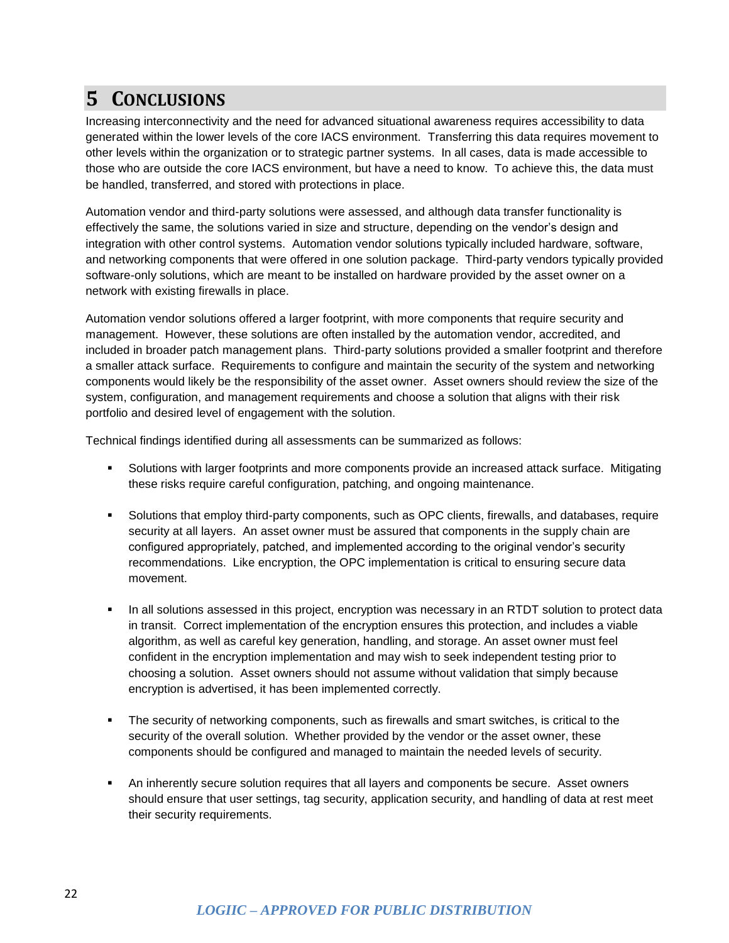## <span id="page-21-0"></span>**5 CONCLUSIONS**

Increasing interconnectivity and the need for advanced situational awareness requires accessibility to data generated within the lower levels of the core IACS environment. Transferring this data requires movement to other levels within the organization or to strategic partner systems. In all cases, data is made accessible to those who are outside the core IACS environment, but have a need to know. To achieve this, the data must be handled, transferred, and stored with protections in place.

Automation vendor and third-party solutions were assessed, and although data transfer functionality is effectively the same, the solutions varied in size and structure, depending on the vendor's design and integration with other control systems. Automation vendor solutions typically included hardware, software, and networking components that were offered in one solution package. Third-party vendors typically provided software-only solutions, which are meant to be installed on hardware provided by the asset owner on a network with existing firewalls in place.

Automation vendor solutions offered a larger footprint, with more components that require security and management. However, these solutions are often installed by the automation vendor, accredited, and included in broader patch management plans. Third-party solutions provided a smaller footprint and therefore a smaller attack surface. Requirements to configure and maintain the security of the system and networking components would likely be the responsibility of the asset owner. Asset owners should review the size of the system, configuration, and management requirements and choose a solution that aligns with their risk portfolio and desired level of engagement with the solution.

Technical findings identified during all assessments can be summarized as follows:

- Solutions with larger footprints and more components provide an increased attack surface. Mitigating these risks require careful configuration, patching, and ongoing maintenance.
- Solutions that employ third-party components, such as OPC clients, firewalls, and databases, require security at all layers. An asset owner must be assured that components in the supply chain are configured appropriately, patched, and implemented according to the original vendor's security recommendations. Like encryption, the OPC implementation is critical to ensuring secure data movement.
- In all solutions assessed in this project, encryption was necessary in an RTDT solution to protect data in transit. Correct implementation of the encryption ensures this protection, and includes a viable algorithm, as well as careful key generation, handling, and storage. An asset owner must feel confident in the encryption implementation and may wish to seek independent testing prior to choosing a solution. Asset owners should not assume without validation that simply because encryption is advertised, it has been implemented correctly.
- **The security of networking components, such as firewalls and smart switches, is critical to the** security of the overall solution. Whether provided by the vendor or the asset owner, these components should be configured and managed to maintain the needed levels of security.
- An inherently secure solution requires that all layers and components be secure. Asset owners should ensure that user settings, tag security, application security, and handling of data at rest meet their security requirements.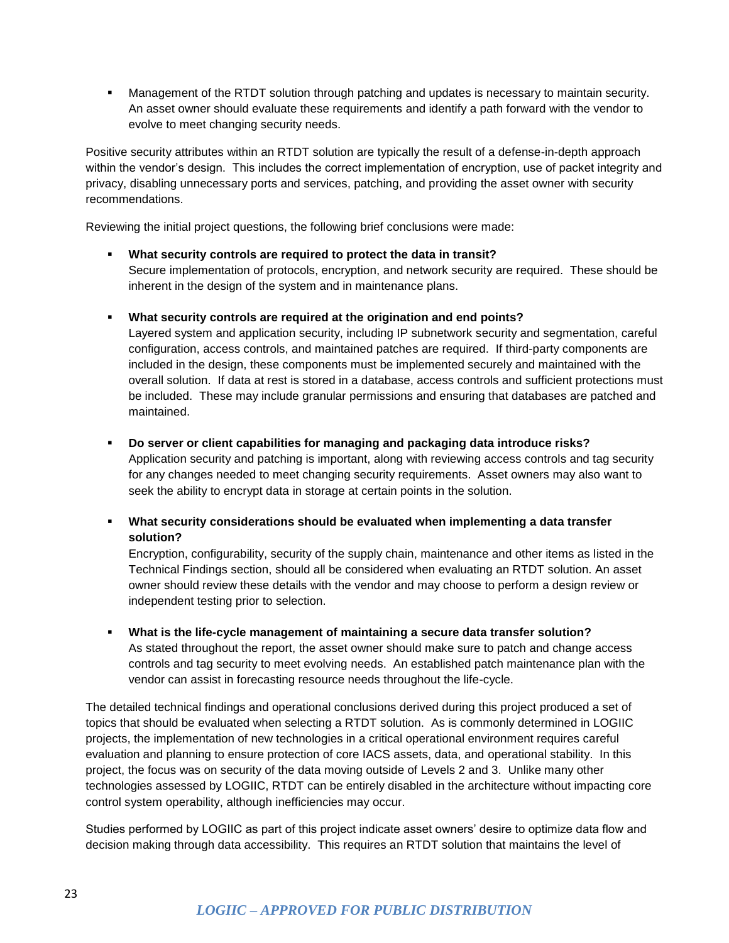**Management of the RTDT solution through patching and updates is necessary to maintain security.** An asset owner should evaluate these requirements and identify a path forward with the vendor to evolve to meet changing security needs.

Positive security attributes within an RTDT solution are typically the result of a defense-in-depth approach within the vendor's design. This includes the correct implementation of encryption, use of packet integrity and privacy, disabling unnecessary ports and services, patching, and providing the asset owner with security recommendations.

Reviewing the initial project questions, the following brief conclusions were made:

- **What security controls are required to protect the data in transit?**  Secure implementation of protocols, encryption, and network security are required. These should be inherent in the design of the system and in maintenance plans.
- **What security controls are required at the origination and end points?**

Layered system and application security, including IP subnetwork security and segmentation, careful configuration, access controls, and maintained patches are required. If third-party components are included in the design, these components must be implemented securely and maintained with the overall solution. If data at rest is stored in a database, access controls and sufficient protections must be included. These may include granular permissions and ensuring that databases are patched and maintained.

**Do server or client capabilities for managing and packaging data introduce risks?**

Application security and patching is important, along with reviewing access controls and tag security for any changes needed to meet changing security requirements. Asset owners may also want to seek the ability to encrypt data in storage at certain points in the solution.

 **What security considerations should be evaluated when implementing a data transfer solution?**

Encryption, configurability, security of the supply chain, maintenance and other items as listed in the Technical Findings section, should all be considered when evaluating an RTDT solution. An asset owner should review these details with the vendor and may choose to perform a design review or independent testing prior to selection.

 **What is the life-cycle management of maintaining a secure data transfer solution?** As stated throughout the report, the asset owner should make sure to patch and change access controls and tag security to meet evolving needs. An established patch maintenance plan with the vendor can assist in forecasting resource needs throughout the life-cycle.

The detailed technical findings and operational conclusions derived during this project produced a set of topics that should be evaluated when selecting a RTDT solution. As is commonly determined in LOGIIC projects, the implementation of new technologies in a critical operational environment requires careful evaluation and planning to ensure protection of core IACS assets, data, and operational stability. In this project, the focus was on security of the data moving outside of Levels 2 and 3. Unlike many other technologies assessed by LOGIIC, RTDT can be entirely disabled in the architecture without impacting core control system operability, although inefficiencies may occur.

Studies performed by LOGIIC as part of this project indicate asset owners' desire to optimize data flow and decision making through data accessibility. This requires an RTDT solution that maintains the level of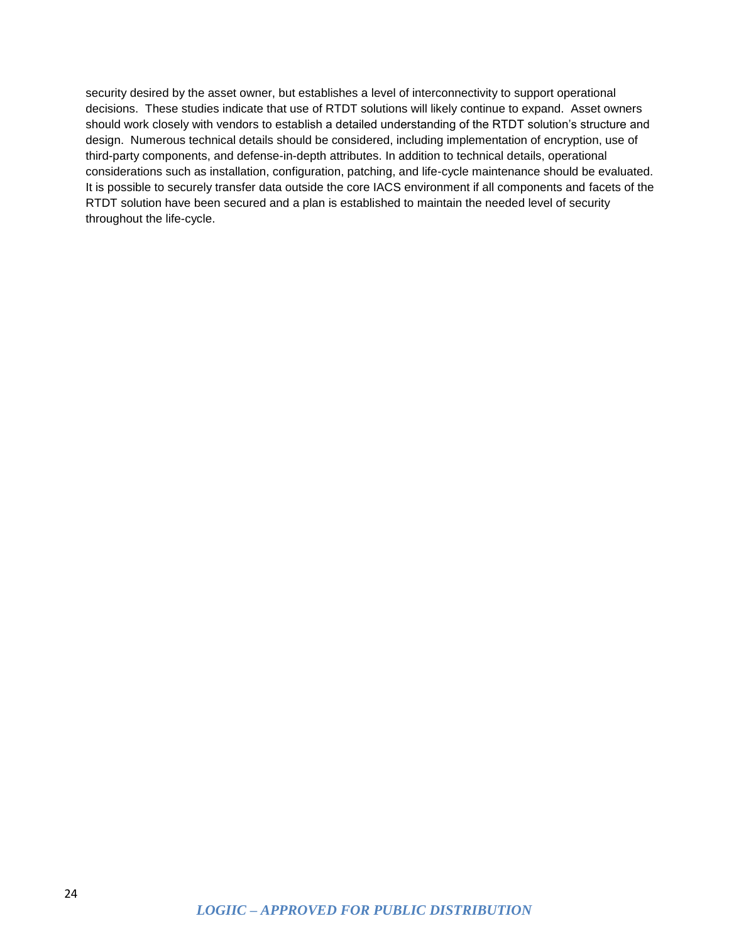security desired by the asset owner, but establishes a level of interconnectivity to support operational decisions. These studies indicate that use of RTDT solutions will likely continue to expand. Asset owners should work closely with vendors to establish a detailed understanding of the RTDT solution's structure and design. Numerous technical details should be considered, including implementation of encryption, use of third-party components, and defense-in-depth attributes. In addition to technical details, operational considerations such as installation, configuration, patching, and life-cycle maintenance should be evaluated. It is possible to securely transfer data outside the core IACS environment if all components and facets of the RTDT solution have been secured and a plan is established to maintain the needed level of security throughout the life-cycle.